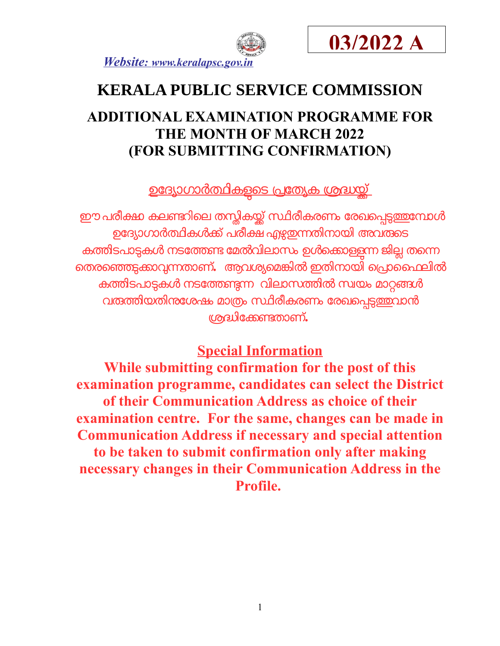



# **KERALA PUBLIC SERVICE COMMISSION**

## **ADDITIONAL EXAMINATION PROGRAMME FOR THE MONTH OF MARCH 2022 (FOR SUBMITTING CONFIRMATION)**

<u>ഉദ്യോഗാർത്ഥികളടെ പ്രത്യേക ശ്രദ്ധയ്ക്</u>

ഈ പരീക്ഷ കലണ്ടറിലെ തസ്തികയ്ക്ക് സ്ഥിരീകരണം രേഖപ്പെട<u>്ടത്ത</u>ന്ഥേൾ ഉദ്യോഗാർത്ഥികൾക്ക് പരീക്ഷ എഴുതുന്നതിനായി അവരുടെ കത്തിടപാട്ടകൾ നടത്തേണ്ട മേൽവിലാസം ഉൾക്കൊള്ളന്ന ജില്ല തന്നെ െതരെഞടകോവനതോണ്**.** ആവശയെമങിൽ ഇതിനോയി െപോൈഫലിൽ കതിടപോടകൾ നടോതണന വിലോസതിൽസവയം മോറങൾ വ<mark>രത്തിയതിനശേഷം മാത്രം സ്ഥിരീകരണം രേഖ</mark>പ്പെട<u>്ടത്ത</u>വാൻ ശദിോകണതോണ്**.** 

### **Special Information**

**While submitting confirmation for the post of this examination programme, candidates can select the District of their Communication Address as choice of their examination centre. For the same, changes can be made in Communication Address if necessary and special attention to be taken to submit confirmation only after making necessary changes in their Communication Address in the Profile.**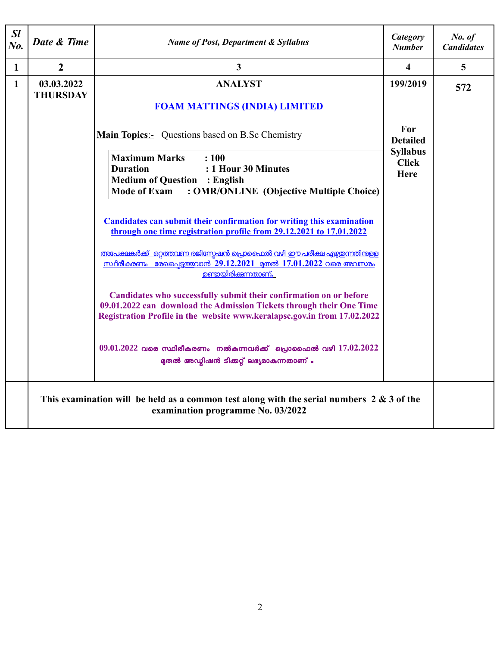| SI<br>No.    | Date & Time                                                                                                                       | <b>Name of Post, Department &amp; Syllabus</b>                                                                                                                                                                         | Category<br><b>Number</b>               | No. of<br><b>Candidates</b> |
|--------------|-----------------------------------------------------------------------------------------------------------------------------------|------------------------------------------------------------------------------------------------------------------------------------------------------------------------------------------------------------------------|-----------------------------------------|-----------------------------|
| $\mathbf{1}$ | $\boldsymbol{2}$                                                                                                                  | 3                                                                                                                                                                                                                      | $\overline{\mathbf{4}}$                 | 5                           |
| $\mathbf{1}$ | 03.03.2022<br><b>THURSDAY</b>                                                                                                     | <b>ANALYST</b><br><b>FOAM MATTINGS (INDIA) LIMITED</b>                                                                                                                                                                 | 199/2019                                | 572                         |
|              |                                                                                                                                   | <b>Main Topics:-</b> Questions based on B.Sc Chemistry                                                                                                                                                                 | For<br><b>Detailed</b>                  |                             |
|              |                                                                                                                                   | <b>Maximum Marks</b><br>: 100<br>: 1 Hour 30 Minutes<br><b>Duration</b><br><b>Medium of Question : English</b><br><b>Mode of Exam</b><br>: OMR/ONLINE (Objective Multiple Choice)                                      | <b>Syllabus</b><br><b>Click</b><br>Here |                             |
|              |                                                                                                                                   | <b>Candidates can submit their confirmation for writing this examination</b><br>through one time registration profile from 29.12.2021 to 17.01.2022                                                                    |                                         |                             |
|              |                                                                                                                                   | <u>അപേക്ഷകർക്ക് ഒറ്റത്തവണ രജിസ്മേഷൻ പ്രൊഫൈൽ വഴി ഈ പരീക്ഷ എഴ്ചതന്നതിന്കള്</u><br><u>സ്ഥിരീകരണം രേഖപ്പെട്ടത്തവാൻ 29.12.2021 മുതൽ 17.01.2022 വരെ അവസരം</u><br><u>ഉണ്ടായിരിക്കുന്നതാണ്.</u>                                |                                         |                             |
|              |                                                                                                                                   | Candidates who successfully submit their confirmation on or before<br>09.01.2022 can download the Admission Tickets through their One Time<br>Registration Profile in the website www.keralapsc.gov.in from 17.02.2022 |                                         |                             |
|              |                                                                                                                                   | $09.01.2022$ വരെ സ്ഥിരീകരണം നൽകന്നവർക്ക് പ്രൊഫൈൽ വഴി $17.02.2022$<br>മുതൽ അഡ്മിഷൻ ടിക്കറ്റ് ലഭ്യമാകുന്നതാണ് .                                                                                                          |                                         |                             |
|              | This examination will be held as a common test along with the serial numbers $2 \& 3$ of the<br>examination programme No. 03/2022 |                                                                                                                                                                                                                        |                                         |                             |